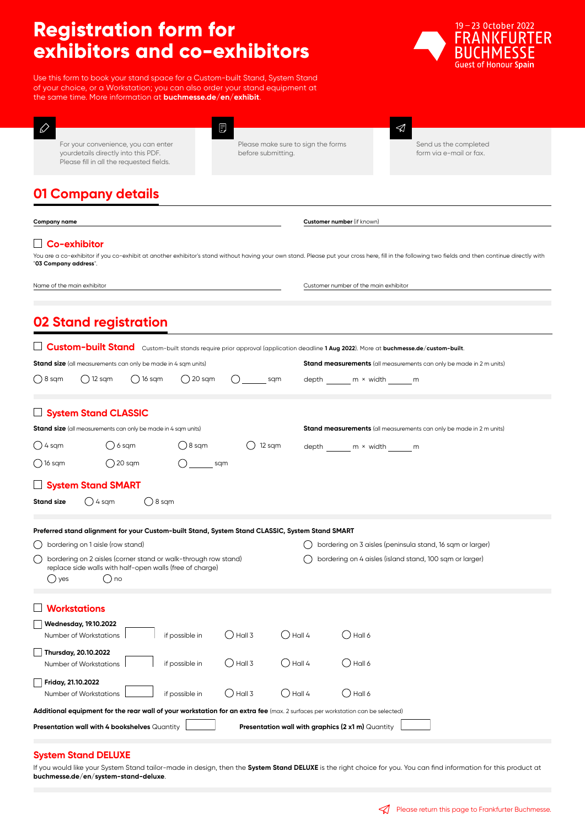# **Registration form for exhibitors and co-exhibitors**



Use this form to book your stand space for a Custom-built Stand, System Stand of your choice, or a Workstation; you can also order your stand equipment at the same time. More information at **buchmesse.de/en/exhibit**.

|                                                                                                                        | Đ |                                                          | ⊲ |                                                  |
|------------------------------------------------------------------------------------------------------------------------|---|----------------------------------------------------------|---|--------------------------------------------------|
| For your convenience, you can enter<br>yourdetails directly into this PDF.<br>Please fill in all the requested fields. |   | Please make sure to sign the forms<br>before submitting. |   | Send us the completed<br>form via e-mail or fax. |
| --                                                                                                                     |   |                                                          |   |                                                  |

# **01 Company details**

| Company name                                                                                                                                                                          |                                |                                                          | Customer number (if known)                                                                                                                                                                        |  |  |  |  |
|---------------------------------------------------------------------------------------------------------------------------------------------------------------------------------------|--------------------------------|----------------------------------------------------------|---------------------------------------------------------------------------------------------------------------------------------------------------------------------------------------------------|--|--|--|--|
| $\Box$ Co-exhibitor<br>"03 Company address".                                                                                                                                          |                                |                                                          | You are a co-exhibitor if you co-exhibit at another exhibitor's stand without having your own stand. Please put your cross here, fill in the following two fields and then continue directly with |  |  |  |  |
| Name of the main exhibitor                                                                                                                                                            |                                |                                                          | Customer number of the main exhibitor                                                                                                                                                             |  |  |  |  |
| <b>02 Stand registration</b>                                                                                                                                                          |                                |                                                          |                                                                                                                                                                                                   |  |  |  |  |
| <b>Custom-built Stand</b> Custom-built stands require prior approval (application deadline 1 Aug 2022). More at buchmesse.de/custom-built.                                            |                                |                                                          |                                                                                                                                                                                                   |  |  |  |  |
| <b>Stand size</b> (all measurements can only be made in 4 sqm units)                                                                                                                  |                                |                                                          | <b>Stand measurements</b> (all measurements can only be made in 2 m units)                                                                                                                        |  |  |  |  |
| ( ) 8 sqm<br>( ) 12 sqm<br>( ) 16 sqm                                                                                                                                                 | $( )$ 20 sqm<br>$\bigcirc$ sqm |                                                          | depth m × width m                                                                                                                                                                                 |  |  |  |  |
| System Stand CLASSIC                                                                                                                                                                  |                                |                                                          |                                                                                                                                                                                                   |  |  |  |  |
| <b>Stand size</b> (all measurements can only be made in 4 sqm units)                                                                                                                  |                                |                                                          | <b>Stand measurements</b> (all measurements can only be made in 2 m units)                                                                                                                        |  |  |  |  |
| ( ) 4 sqm<br>$( ) 6$ sqm                                                                                                                                                              | $( )8$ sqm<br>$($ )            | 12 sqm                                                   | depth m × width m                                                                                                                                                                                 |  |  |  |  |
| $\bigcirc$ 20 sqm<br>( ) 16 sqm                                                                                                                                                       | sqm                            |                                                          |                                                                                                                                                                                                   |  |  |  |  |
| $\Box$ System Stand SMART                                                                                                                                                             |                                |                                                          |                                                                                                                                                                                                   |  |  |  |  |
| $( )$ 4 sqm<br>( ) 8 sqm<br>Stand size                                                                                                                                                |                                |                                                          |                                                                                                                                                                                                   |  |  |  |  |
| Preferred stand alignment for your Custom-built Stand, System Stand CLASSIC, System Stand SMART                                                                                       |                                |                                                          |                                                                                                                                                                                                   |  |  |  |  |
| () bordering on 1 aisle (row stand)                                                                                                                                                   |                                |                                                          | bordering on 3 aisles (peninsula stand, 16 sqm or larger)                                                                                                                                         |  |  |  |  |
| ()<br>bordering on 2 aisles (corner stand or walk-through row stand)<br>replace side walls with half-open walls (free of charge)<br>( ) yes<br>( ) no                                 |                                |                                                          | bordering on 4 aisles (island stand, 100 sqm or larger)                                                                                                                                           |  |  |  |  |
| $\Box$ Workstations                                                                                                                                                                   |                                |                                                          |                                                                                                                                                                                                   |  |  |  |  |
| <b>Wednesday, 19.10.2022</b><br>if possible in<br>Number of Workstations                                                                                                              | $()$ Hall 3                    | Hall 4                                                   | (  ) Hall 6                                                                                                                                                                                       |  |  |  |  |
| Thursday, 20.10.2022<br>if possible in<br>Number of Workstations                                                                                                                      | $\bigcirc$ Hall 3              | $\bigcirc$ Hall 4                                        | $\bigcirc$ Hall 6                                                                                                                                                                                 |  |  |  |  |
| Friday, 21.10.2022<br>if possible in<br>Number of Workstations                                                                                                                        | $\bigcirc$ Hall 3              | $\bigcirc$ Hall 4                                        | $\bigcirc$ Hall 6                                                                                                                                                                                 |  |  |  |  |
| <b>Additional equipment for the rear wall of your workstation for an extra fee</b> (max. 2 surfaces per workstation can be selected)<br>Presentation wall with 4 bookshelves Quantity |                                | <b>Presentation wall with graphics (2 x1 m)</b> Quantity |                                                                                                                                                                                                   |  |  |  |  |

#### **System Stand DELUXE**

If you would like your System Stand tailor-made in design, then the **System Stand DELUXE** is the right choice for you. You can find information for this product at **[buchmesse.de/en/system-stand-deluxe](https://www.buchmesse.de/en/system-stand-deluxe)**.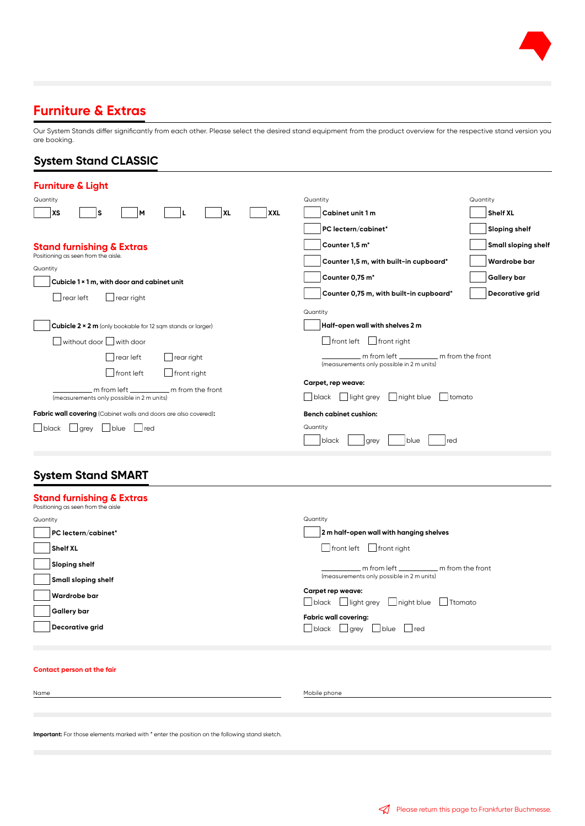

### **Furniture & Extras**

Our System Stands differ significantly from each other. Please select the desired stand equipment from the product overview for the respective stand version you are booking.

#### **System Stand CLASSIC**

| <b>Furniture &amp; Light</b>                                            |                                                |                      |  |  |  |
|-------------------------------------------------------------------------|------------------------------------------------|----------------------|--|--|--|
| Quantity                                                                | Quantity                                       | Quantity             |  |  |  |
| <b>XXL</b><br>lxs<br><b>XL</b><br>s<br>м                                | Cabinet unit 1 m                               | <b>Shelf XL</b>      |  |  |  |
|                                                                         | PC lectern/cabinet*                            | <b>Sloping shelf</b> |  |  |  |
| <b>Stand furnishing &amp; Extras</b>                                    | Counter 1,5 m*                                 | Small sloping shelf  |  |  |  |
| Positioning as seen from the aisle.<br>Quantity                         | Counter 1,5 m, with built-in cupboard*         | Wardrobe bar         |  |  |  |
| Cubicle 1 × 1 m, with door and cabinet unit                             | Counter 0,75 m*                                | <b>Gallery</b> bar   |  |  |  |
| rear left<br>rear right                                                 | Counter 0,75 m, with built-in cupboard*        | Decorative grid      |  |  |  |
|                                                                         | Quantity                                       |                      |  |  |  |
| Cubicle 2 × 2 m (only bookable for 12 sqm stands or larger)             | Half-open wall with shelves 2 m                |                      |  |  |  |
| without door   with door                                                | $\Box$ front left $\Box$ front right           |                      |  |  |  |
| rear left<br>rear right                                                 | (measurements only possible in 2 m units)      |                      |  |  |  |
| front left<br>$\Box$ front right                                        |                                                |                      |  |  |  |
|                                                                         | Carpet, rep weave:                             |                      |  |  |  |
| (measurements only possible in 2 m units)                               | black I light grey<br>    night blue<br>tomato |                      |  |  |  |
| <b>Fabric wall covering</b> (Cabinet walls and doors are also covered): | <b>Bench cabinet cushion:</b>                  |                      |  |  |  |
| $\vert$ black<br>I blue I red<br>l larev                                | Quantity                                       |                      |  |  |  |
|                                                                         | blue<br>black<br>red<br> grey                  |                      |  |  |  |

#### **System Stand SMART**

| <b>Stand furnishing &amp; Extras</b><br>Positioning as seen from the aisle                               |                                                                                                                                                 |  |  |  |
|----------------------------------------------------------------------------------------------------------|-------------------------------------------------------------------------------------------------------------------------------------------------|--|--|--|
| Quantity<br><b>PC</b> lectern/cabinet*<br><b>Shelf XL</b><br><b>Sloping shelf</b><br>Small sloping shelf | Quantity<br>2 m half-open wall with hanging shelves<br>front left front right<br>(measurements only possible in 2 m units)<br>Carpet rep weave: |  |  |  |
| Wardrobe bar<br>Gallery bar<br>Decorative grid                                                           | black light grey linight blue<br>  Ttomato<br><b>Fabric wall covering:</b><br>black<br>l Ired<br>$\Box$ grey<br>  blue                          |  |  |  |
| Contact person at the fair                                                                               |                                                                                                                                                 |  |  |  |

**Important:** For those elements marked with \* enter the position on the following stand sketch.

Name Mobile phone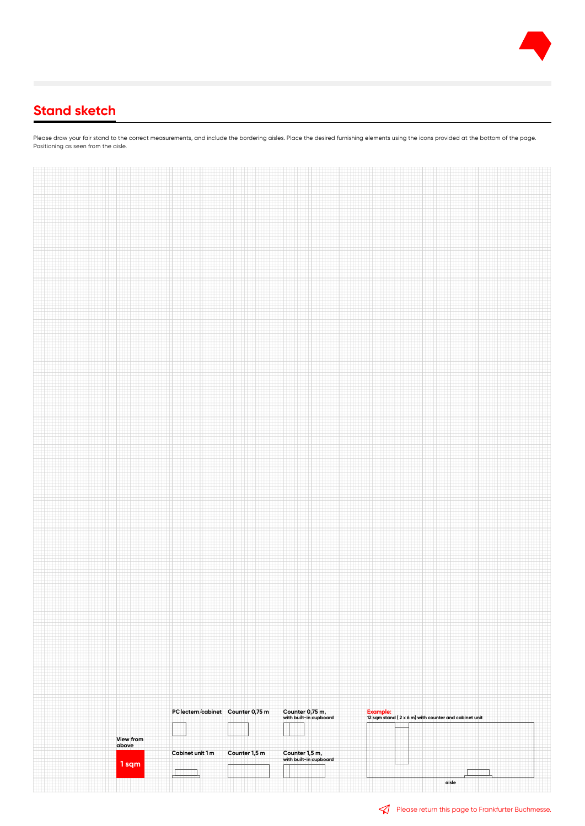

# **Stand sketch**

Please draw your fair stand to the correct measurements, and include the bordering aisles. Place the desired furnishing elements using the icons provided at the bottom of the page. Positioning as seen from the aisle.

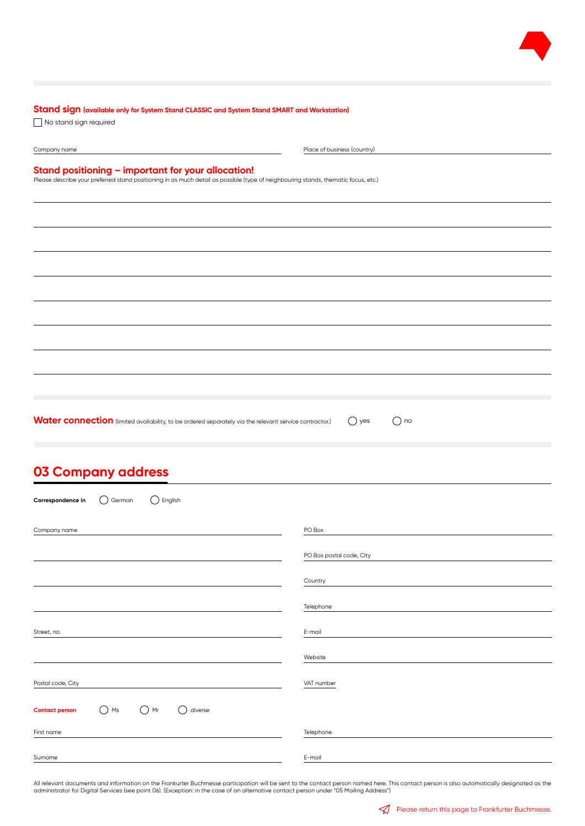

| Stand sign (available only for System Stand CLASSIC and System Stand SMART and Workstation) |  |
|---------------------------------------------------------------------------------------------|--|
| $\Box$ No otand sign roquired                                                               |  |

No stand sign required

Company name Place of business (country)

# **Stand positioning – important for your allocation!** Please describe your preferred stand positioning in as much detail as possible (type of neighbouring stands, thematic focus, etc.)

Water connection (limited availability, to be ordered separately via the relevant service contractor.)  $\bigcirc$  yes  $\bigcirc$  no

### **03 Company address**

| $\bigcirc$ English<br>Correspondence in<br>German                           |                          |
|-----------------------------------------------------------------------------|--------------------------|
| Company name                                                                | PO Box                   |
|                                                                             | PO Box postal code, City |
|                                                                             | Country                  |
|                                                                             | Telephone                |
| Street, no.                                                                 | E-mail                   |
|                                                                             | Website                  |
| Postal code, City                                                           | VAT number               |
| $\bigcirc$ Mr<br>$\bigcirc$ Ms<br>$($ )<br>diverse<br><b>Contact person</b> |                          |
| First name                                                                  | Telephone                |
| Surname                                                                     | E-mail                   |

All relevant documents and information on the Frankurter Buchmesse participation will be sent to the contact person named here. This contact person is also automatically designated as the<br>administrator for Digital Services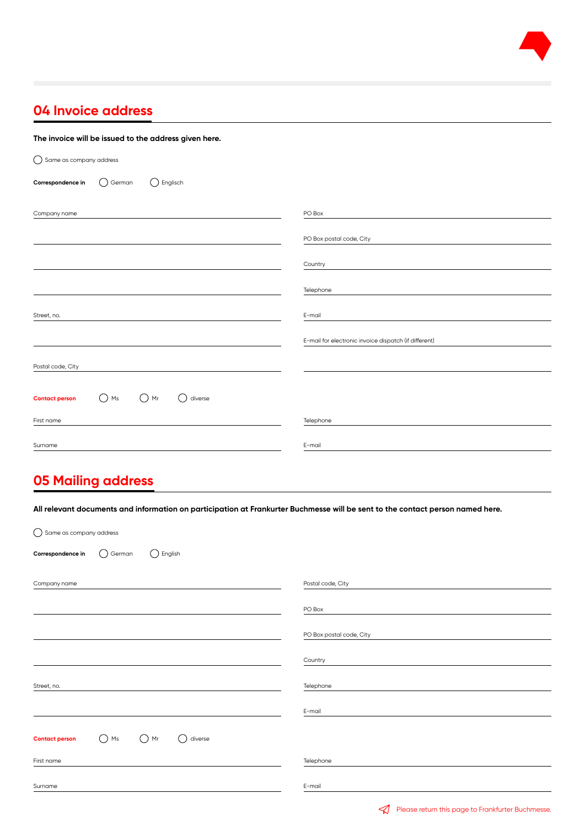

# **04 Invoice address**

#### **The invoice will be issued to the address given here.**

| $\bigcirc$ Same as company address                                                       |                                                       |
|------------------------------------------------------------------------------------------|-------------------------------------------------------|
| $\bigcirc$ Englisch<br>Correspondence in<br>() German                                    |                                                       |
| Company name                                                                             | PO Box                                                |
|                                                                                          | PO Box postal code, City                              |
|                                                                                          | Country                                               |
|                                                                                          | Telephone                                             |
| Street, no.                                                                              | E-mail                                                |
|                                                                                          | E-mail for electronic invoice dispatch (if different) |
| Postal code, City                                                                        |                                                       |
| $\bigcirc$ Mr<br>$\bigcirc$ Ms<br>$\curvearrowright$<br><b>Contact person</b><br>diverse |                                                       |
| First name                                                                               | Telephone                                             |
| Surname                                                                                  | E-mail                                                |

# **05 Mailing address**

**All relevant documents and information on participation at Frankurter Buchmesse will be sent to the contact person named here.**

| $\bigcirc$ Same as company address                                      |                          |
|-------------------------------------------------------------------------|--------------------------|
| $\bigcirc$<br>English<br>Correspondence in<br>German<br>$($ )           |                          |
| Company name                                                            | Postal code, City        |
|                                                                         | PO Box                   |
|                                                                         | PO Box postal code, City |
|                                                                         | Country                  |
| Street, no.                                                             | Telephone                |
|                                                                         | E-mail                   |
| $\bigcirc$ Mr<br>$\bigcirc$ Ms<br>∩<br>diverse<br><b>Contact person</b> |                          |
| First name                                                              | Telephone                |
| Surname                                                                 | E-mail                   |
|                                                                         |                          |